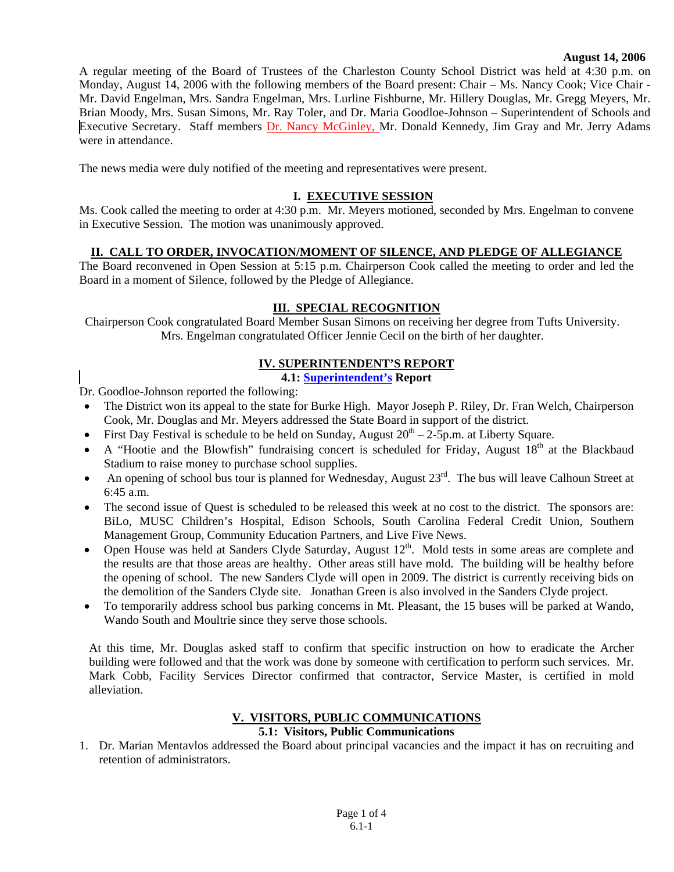**August 14, 2006** 

A regular meeting of the Board of Trustees of the Charleston County School District was held at 4:30 p.m. on Monday, August 14, 2006 with the following members of the Board present: Chair – Ms. Nancy Cook; Vice Chair - Mr. David Engelman, Mrs. Sandra Engelman, Mrs. Lurline Fishburne, Mr. Hillery Douglas, Mr. Gregg Meyers, Mr. Brian Moody, Mrs. Susan Simons, Mr. Ray Toler, and Dr. Maria Goodloe-Johnson – Superintendent of Schools and Executive Secretary. Staff members Dr. Nancy McGinley, Mr. Donald Kennedy, Jim Gray and Mr. Jerry Adams were in attendance.

The news media were duly notified of the meeting and representatives were present.

## **I. EXECUTIVE SESSION**

Ms. Cook called the meeting to order at 4:30 p.m. Mr. Meyers motioned, seconded by Mrs. Engelman to convene in Executive Session. The motion was unanimously approved.

## **II. CALL TO ORDER, INVOCATION/MOMENT OF SILENCE, AND PLEDGE OF ALLEGIANCE**

The Board reconvened in Open Session at 5:15 p.m. Chairperson Cook called the meeting to order and led the Board in a moment of Silence, followed by the Pledge of Allegiance.

## **III. SPECIAL RECOGNITION**

Chairperson Cook congratulated Board Member Susan Simons on receiving her degree from Tufts University. Mrs. Engelman congratulated Officer Jennie Cecil on the birth of her daughter.

## **IV. SUPERINTENDENT'S REPORT**

# **4.1: Superintendent's Report**

Dr. Goodloe-Johnson reported the following:

- The District won its appeal to the state for Burke High. Mayor Joseph P. Riley, Dr. Fran Welch, Chairperson Cook, Mr. Douglas and Mr. Meyers addressed the State Board in support of the district.
- First Day Festival is schedule to be held on Sunday, August  $20^{th} 2-5p$ .m. at Liberty Square.
- A "Hootie and the Blowfish" fundraising concert is scheduled for Friday, August  $18<sup>th</sup>$  at the Blackbaud Stadium to raise money to purchase school supplies.
- An opening of school bus tour is planned for Wednesday, August  $23<sup>rd</sup>$ . The bus will leave Calhoun Street at 6:45 a.m.
- The second issue of Quest is scheduled to be released this week at no cost to the district. The sponsors are: BiLo, MUSC Children's Hospital, Edison Schools, South Carolina Federal Credit Union, Southern Management Group, Community Education Partners, and Live Five News.
- Open House was held at Sanders Clyde Saturday, August  $12<sup>th</sup>$ . Mold tests in some areas are complete and the results are that those areas are healthy. Other areas still have mold. The building will be healthy before the opening of school. The new Sanders Clyde will open in 2009. The district is currently receiving bids on the demolition of the Sanders Clyde site. Jonathan Green is also involved in the Sanders Clyde project.
- To temporarily address school bus parking concerns in Mt. Pleasant, the 15 buses will be parked at Wando, Wando South and Moultrie since they serve those schools.

At this time, Mr. Douglas asked staff to confirm that specific instruction on how to eradicate the Archer building were followed and that the work was done by someone with certification to perform such services. Mr. Mark Cobb, Facility Services Director confirmed that contractor, Service Master, is certified in mold alleviation.

## **V. VISITORS, PUBLIC COMMUNICATIONS**

## **5.1: Visitors, Public Communications**

1. Dr. Marian Mentavlos addressed the Board about principal vacancies and the impact it has on recruiting and retention of administrators.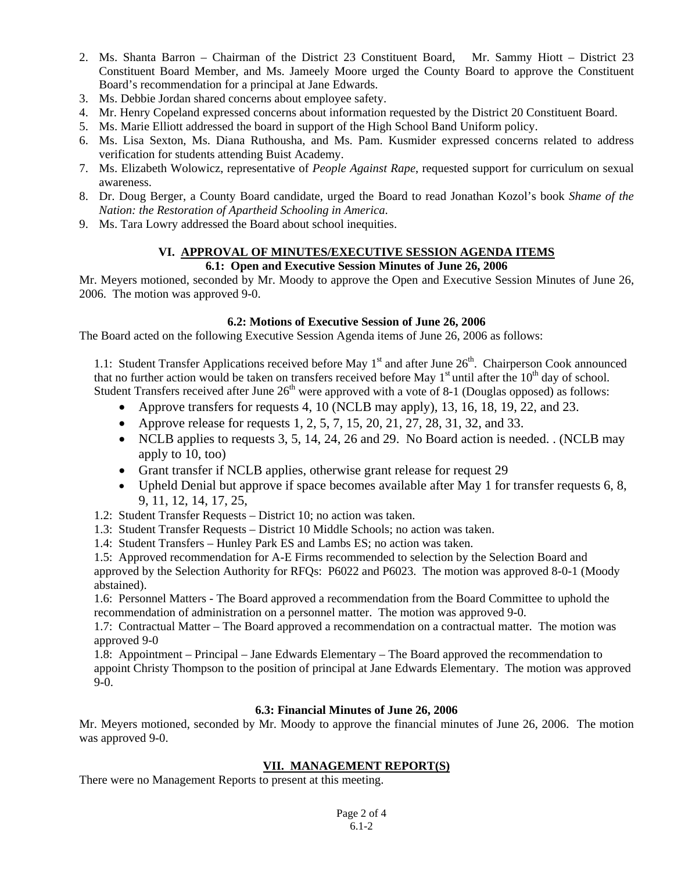- 2. Ms. Shanta Barron Chairman of the District 23 Constituent Board, Mr. Sammy Hiott District 23 Constituent Board Member, and Ms. Jameely Moore urged the County Board to approve the Constituent Board's recommendation for a principal at Jane Edwards.
- 3. Ms. Debbie Jordan shared concerns about employee safety.
- 4. Mr. Henry Copeland expressed concerns about information requested by the District 20 Constituent Board.
- 5. Ms. Marie Elliott addressed the board in support of the High School Band Uniform policy.
- 6. Ms. Lisa Sexton, Ms. Diana Ruthousha, and Ms. Pam. Kusmider expressed concerns related to address verification for students attending Buist Academy.
- 7. Ms. Elizabeth Wolowicz, representative of *People Against Rape*, requested support for curriculum on sexual awareness.
- 8. Dr. Doug Berger, a County Board candidate, urged the Board to read Jonathan Kozol's book *Shame of the Nation: the Restoration of Apartheid Schooling in America*.
- 9. Ms. Tara Lowry addressed the Board about school inequities.

# **VI. APPROVAL OF MINUTES/EXECUTIVE SESSION AGENDA ITEMS**

### **6.1: Open and Executive Session Minutes of June 26, 2006**

Mr. Meyers motioned, seconded by Mr. Moody to approve the Open and Executive Session Minutes of June 26, 2006. The motion was approved 9-0.

## **6.2: Motions of Executive Session of June 26, 2006**

The Board acted on the following Executive Session Agenda items of June 26, 2006 as follows:

1.1: Student Transfer Applications received before May 1<sup>st</sup> and after June 26<sup>th</sup>. Chairperson Cook announced that no further action would be taken on transfers received before May  $1<sup>st</sup>$  until after the  $10<sup>th</sup>$  day of school. Student Transfers received after June  $26<sup>th</sup>$  were approved with a vote of 8-1 (Douglas opposed) as follows:

- Approve transfers for requests 4, 10 (NCLB may apply), 13, 16, 18, 19, 22, and 23.
- Approve release for requests  $1, 2, 5, 7, 15, 20, 21, 27, 28, 31, 32,$  and 33.
- NCLB applies to requests 3, 5, 14, 24, 26 and 29. No Board action is needed. . (NCLB may apply to 10, too)
- Grant transfer if NCLB applies, otherwise grant release for request 29
- Upheld Denial but approve if space becomes available after May 1 for transfer requests 6, 8, 9, 11, 12, 14, 17, 25,
- 1.2: Student Transfer Requests District 10; no action was taken.
- 1.3: Student Transfer Requests District 10 Middle Schools; no action was taken.
- 1.4: Student Transfers Hunley Park ES and Lambs ES; no action was taken.

1.5: Approved recommendation for A-E Firms recommended to selection by the Selection Board and approved by the Selection Authority for RFQs: P6022 and P6023. The motion was approved 8-0-1 (Moody abstained).

1.6: Personnel Matters - The Board approved a recommendation from the Board Committee to uphold the recommendation of administration on a personnel matter. The motion was approved 9-0.

1.7: Contractual Matter – The Board approved a recommendation on a contractual matter. The motion was approved 9-0

1.8: Appointment – Principal – Jane Edwards Elementary – The Board approved the recommendation to appoint Christy Thompson to the position of principal at Jane Edwards Elementary. The motion was approved 9-0.

## **6.3: Financial Minutes of June 26, 2006**

Mr. Meyers motioned, seconded by Mr. Moody to approve the financial minutes of June 26, 2006. The motion was approved 9-0.

## **VII. MANAGEMENT REPORT(S)**

There were no Management Reports to present at this meeting.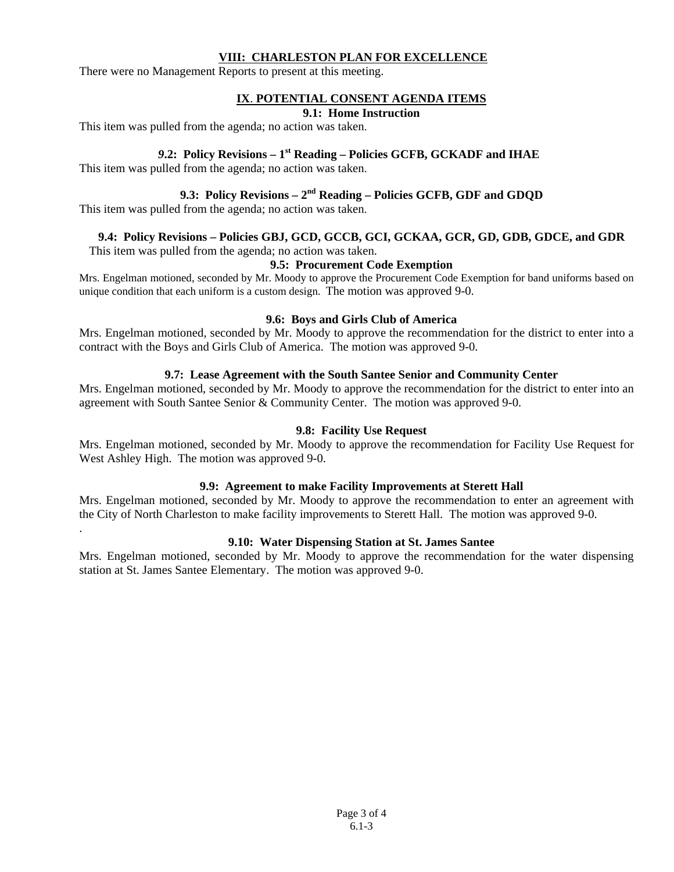### **VIII: CHARLESTON PLAN FOR EXCELLENCE**

There were no Management Reports to present at this meeting.

### **IX**. **POTENTIAL CONSENT AGENDA ITEMS**

#### **9.1: Home Instruction**

This item was pulled from the agenda; no action was taken.

### *9***.2: Policy Revisions – 1st Reading – Policies GCFB, GCKADF and IHAE**

This item was pulled from the agenda; no action was taken.

## **9.3: Policy Revisions – 2nd Reading – Policies GCFB, GDF and GDQD**

This item was pulled from the agenda; no action was taken.

.

## **9.4: Policy Revisions – Policies GBJ, GCD, GCCB, GCI, GCKAA, GCR, GD, GDB, GDCE, and GDR**

This item was pulled from the agenda; no action was taken.

#### **9.5: Procurement Code Exemption**

Mrs. Engelman motioned, seconded by Mr. Moody to approve the Procurement Code Exemption for band uniforms based on unique condition that each uniform is a custom design. The motion was approved 9-0.

#### **9.6: Boys and Girls Club of America**

Mrs. Engelman motioned, seconded by Mr. Moody to approve the recommendation for the district to enter into a contract with the Boys and Girls Club of America. The motion was approved 9-0.

### **9.7: Lease Agreement with the South Santee Senior and Community Center**

Mrs. Engelman motioned, seconded by Mr. Moody to approve the recommendation for the district to enter into an agreement with South Santee Senior & Community Center. The motion was approved 9-0.

### **9.8: Facility Use Request**

Mrs. Engelman motioned, seconded by Mr. Moody to approve the recommendation for Facility Use Request for West Ashley High. The motion was approved 9-0.

#### **9.9: Agreement to make Facility Improvements at Sterett Hall**

Mrs. Engelman motioned, seconded by Mr. Moody to approve the recommendation to enter an agreement with the City of North Charleston to make facility improvements to Sterett Hall. The motion was approved 9-0.

#### **9.10: Water Dispensing Station at St. James Santee**

Mrs. Engelman motioned, seconded by Mr. Moody to approve the recommendation for the water dispensing station at St. James Santee Elementary. The motion was approved 9-0.